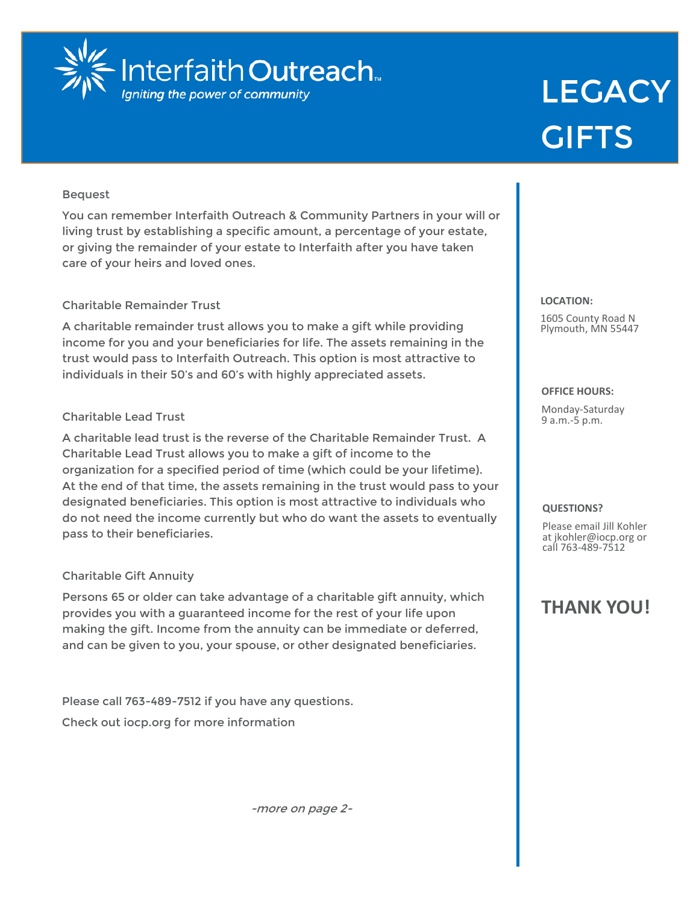

# **LEGACY GIFTS**

# Bequest

You can remember Interfaith Outreach & Community Partners in your will or living trust by establishing a specific amount, a percentage of your estate, or giving the remainder of your estate to Interfaith after you have taken care of your heirs and loved ones.

# Charitable Remainder Trust

A charitable remainder trust allows you to make a gift while providing income for you and your beneficiaries for life. The assets remaining in the trust would pass to Interfaith Outreach. This option is most attractive to individuals in their 50's and 60's with highly appreciated assets.

# Charitable Lead Trust

A charitable lead trust is the reverse of the Charitable Remainder Trust. A Charitable Lead Trust allows you to make a gift of income to the organization for a specified period of time (which could be your lifetime). At the end of that time, the assets remaining in the trust would pass to your designated beneficiaries. This option is most attractive to individuals who do not need the income currently but who do want the assets to eventually pass to their beneficiaries.

# Charitable Gift Annuity

Persons 65 or older can take advantage of a charitable gift annuity, which provides you with a guaranteed income for the rest of your life upon making the gift. Income from the annuity can be immediate or deferred, and can be given to you, your spouse, or other designated beneficiaries.

Please call 763-489-7512 if you have any questions. Check out iocp.org for more information

-more on page 2-

#### **LOCATION:**

1605 County Road N Plymouth, MN 55447

## **OFFICE HOURS:**

Monday-Saturday 9 a.m.-5 p.m.

## **QUESTIONS?**

Please email Jill Kohler at jkohler@iocp.org or call 763-489-7512

# **THANK YOU!**